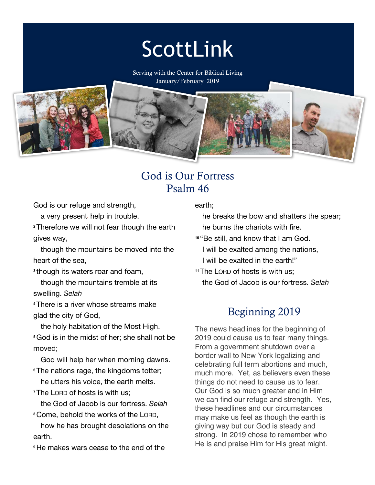# ScottLink

Serving with the Center for Biblical Living January/February 2019



### God is Our Fortress Psalm 46

God is our refuge and strength,

a very present help in trouble.

**<sup>2</sup>**Therefore we will not fear though the earth gives way,

 though the mountains be moved into the heart of the sea,

**<sup>3</sup>**though its waters roar and foam,

 though the mountains tremble at its swelling. *Selah*

**<sup>4</sup>**There is a river whose streams make glad the city of God,

 the holy habitation of the Most High. **<sup>5</sup>**God is in the midst of her; she shall not be moved;

God will help her when morning dawns.

**<sup>6</sup>**The nations rage, the kingdoms totter; he utters his voice, the earth melts.

**<sup>7</sup>**The LORD of hosts is with us;

the God of Jacob is our fortress. *Selah*

**<sup>8</sup>**Come, behold the works of the LORD,

 how he has brought desolations on the earth.

**<sup>9</sup>**He makes wars cease to the end of the

earth;

 he breaks the bow and shatters the spear; he burns the chariots with fire.

**<sup>10</sup>** "Be still, and know that I am God. I will be exalted among the nations, I will be exalted in the earth!"

**<sup>11</sup>**The LORD of hosts is with us; the God of Jacob is our fortress. *Selah*

## Beginning 2019

The news headlines for the beginning of 2019 could cause us to fear many things. From a government shutdown over a border wall to New York legalizing and celebrating full term abortions and much, much more. Yet, as believers even these things do not need to cause us to fear. Our God is so much greater and in Him we can find our refuge and strength. Yes, these headlines and our circumstances may make us feel as though the earth is giving way but our God is steady and strong. In 2019 chose to remember who He is and praise Him for His great might.